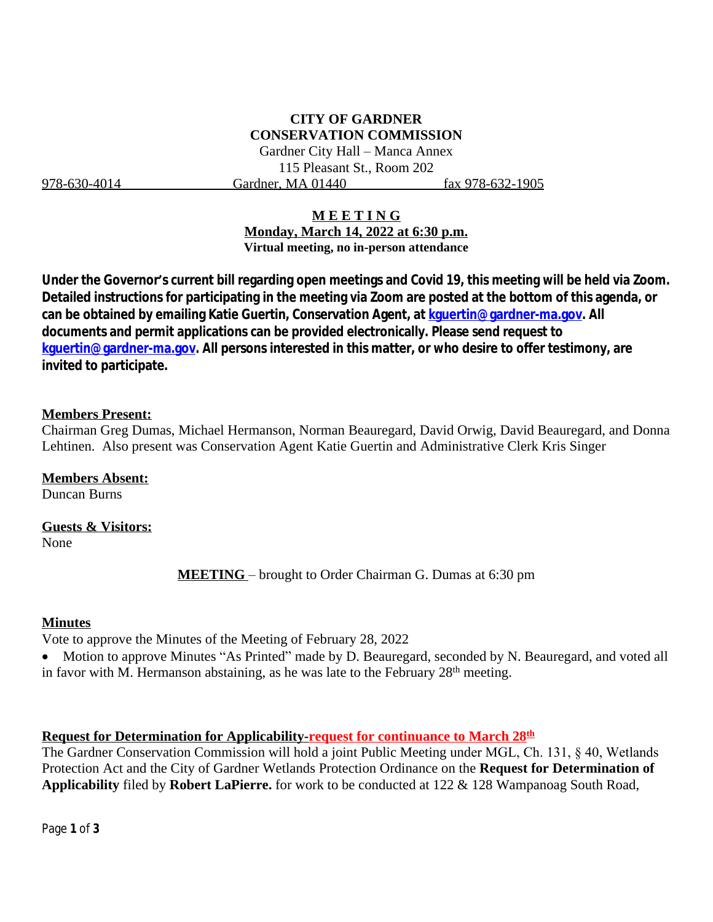# **CITY OF GARDNER CONSERVATION COMMISSION**

Gardner City Hall – Manca Annex 115 Pleasant St., Room 202 978-630-4014 Gardner, MA 01440 fax 978-632-1905

### **M E E T I N G**

**Monday, March 14, 2022 at 6:30 p.m. Virtual meeting, no in-person attendance**

**Under the Governor's current bill regarding open meetings and Covid 19, this meeting will be held via Zoom. Detailed instructions for participating in the meeting via Zoom are posted at the bottom of this agenda, or can be obtained by emailing Katie Guertin, Conservation Agent, at [kguertin@gardner-ma.gov. All](mailto:kguertin@gardner-ma.gov)  [documents and permit applications can be provided electronically. Please send request to](mailto:kguertin@gardner-ma.gov)  [kguertin@gardner-ma.gov.](mailto:kguertin@gardner-ma.gov) All persons interested in this matter, or who desire to offer testimony, are invited to participate.**

#### **Members Present:**

Chairman Greg Dumas, Michael Hermanson, Norman Beauregard, David Orwig, David Beauregard, and Donna Lehtinen. Also present was Conservation Agent Katie Guertin and Administrative Clerk Kris Singer

### **Members Absent:**

Duncan Burns

## **Guests & Visitors:**

None

**MEETING** – brought to Order Chairman G. Dumas at 6:30 pm

#### **Minutes**

Vote to approve the Minutes of the Meeting of February 28, 2022

• Motion to approve Minutes "As Printed" made by D. Beauregard, seconded by N. Beauregard, and voted all in favor with M. Hermanson abstaining, as he was late to the February 28th meeting.

### **Request for Determination for Applicability-request for continuance to March 28th**

The Gardner Conservation Commission will hold a joint Public Meeting under MGL, Ch. 131, § 40, Wetlands Protection Act and the City of Gardner Wetlands Protection Ordinance on the **Request for Determination of Applicability** filed by **Robert LaPierre.** for work to be conducted at 122 & 128 Wampanoag South Road,

Page **1** of **3**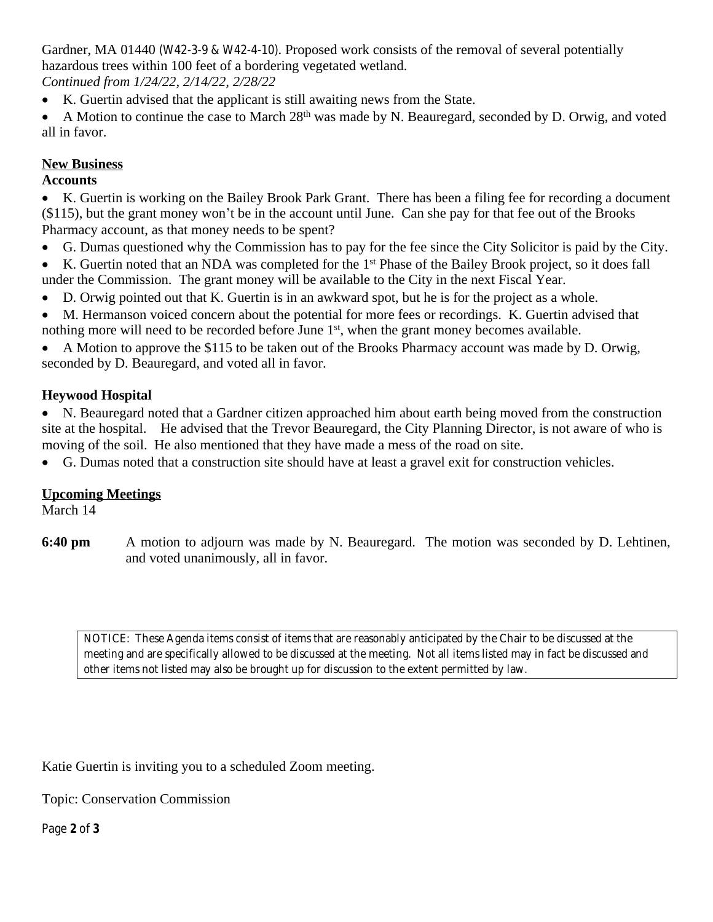Gardner, MA 01440 (W42-3-9 & W42-4-10). Proposed work consists of the removal of several potentially hazardous trees within 100 feet of a bordering vegetated wetland.

*Continued from 1/24/22, 2/14/22, 2/28/22*

- K. Guertin advised that the applicant is still awaiting news from the State.
- A Motion to continue the case to March  $28<sup>th</sup>$  was made by N. Beauregard, seconded by D. Orwig, and voted all in favor.

## **New Business**

## **Accounts**

 K. Guertin is working on the Bailey Brook Park Grant. There has been a filing fee for recording a document (\$115), but the grant money won't be in the account until June. Can she pay for that fee out of the Brooks Pharmacy account, as that money needs to be spent?

- G. Dumas questioned why the Commission has to pay for the fee since the City Solicitor is paid by the City.
- K. Guertin noted that an NDA was completed for the 1st Phase of the Bailey Brook project, so it does fall under the Commission. The grant money will be available to the City in the next Fiscal Year.
- D. Orwig pointed out that K. Guertin is in an awkward spot, but he is for the project as a whole.
- M. Hermanson voiced concern about the potential for more fees or recordings. K. Guertin advised that nothing more will need to be recorded before June 1<sup>st</sup>, when the grant money becomes available.
- A Motion to approve the \$115 to be taken out of the Brooks Pharmacy account was made by D. Orwig, seconded by D. Beauregard, and voted all in favor.

## **Heywood Hospital**

 N. Beauregard noted that a Gardner citizen approached him about earth being moved from the construction site at the hospital. He advised that the Trevor Beauregard, the City Planning Director, is not aware of who is moving of the soil. He also mentioned that they have made a mess of the road on site.

G. Dumas noted that a construction site should have at least a gravel exit for construction vehicles.

## **Upcoming Meetings**

March 14

**6:40 pm** A motion to adjourn was made by N. Beauregard. The motion was seconded by D. Lehtinen, and voted unanimously, all in favor.

*NOTICE: These Agenda items consist of items that are reasonably anticipated by the Chair to be discussed at the meeting and are specifically allowed to be discussed at the meeting. Not all items listed may in fact be discussed and other items not listed may also be brought up for discussion to the extent permitted by law.*

Katie Guertin is inviting you to a scheduled Zoom meeting.

Topic: Conservation Commission

Page **2** of **3**